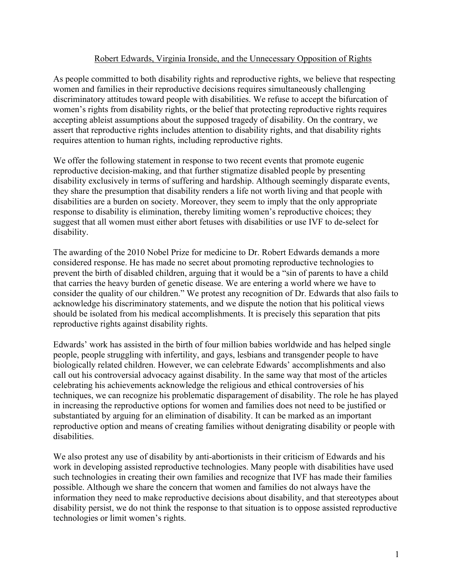## Robert Edwards, Virginia Ironside, and the Unnecessary Opposition of Rights

As people committed to both disability rights and reproductive rights, we believe that respecting women and families in their reproductive decisions requires simultaneously challenging discriminatory attitudes toward people with disabilities. We refuse to accept the bifurcation of women's rights from disability rights, or the belief that protecting reproductive rights requires accepting ableist assumptions about the supposed tragedy of disability. On the contrary, we assert that reproductive rights includes attention to disability rights, and that disability rights requires attention to human rights, including reproductive rights.

We offer the following statement in response to two recent events that promote eugenic reproductive decision-making, and that further stigmatize disabled people by presenting disability exclusively in terms of suffering and hardship. Although seemingly disparate events, they share the presumption that disability renders a life not worth living and that people with disabilities are a burden on society. Moreover, they seem to imply that the only appropriate response to disability is elimination, thereby limiting women's reproductive choices; they suggest that all women must either abort fetuses with disabilities or use IVF to de-select for disability.

The awarding of the 2010 Nobel Prize for medicine to Dr. Robert Edwards demands a more considered response. He has made no secret about promoting reproductive technologies to prevent the birth of disabled children, arguing that it would be a "sin of parents to have a child that carries the heavy burden of genetic disease. We are entering a world where we have to consider the quality of our children." We protest any recognition of Dr. Edwards that also fails to acknowledge his discriminatory statements, and we dispute the notion that his political views should be isolated from his medical accomplishments. It is precisely this separation that pits reproductive rights against disability rights.

Edwards' work has assisted in the birth of four million babies worldwide and has helped single people, people struggling with infertility, and gays, lesbians and transgender people to have biologically related children. However, we can celebrate Edwards' accomplishments and also call out his controversial advocacy against disability. In the same way that most of the articles celebrating his achievements acknowledge the religious and ethical controversies of his techniques, we can recognize his problematic disparagement of disability. The role he has played in increasing the reproductive options for women and families does not need to be justified or substantiated by arguing for an elimination of disability. It can be marked as an important reproductive option and means of creating families without denigrating disability or people with disabilities.

We also protest any use of disability by anti-abortionists in their criticism of Edwards and his work in developing assisted reproductive technologies. Many people with disabilities have used such technologies in creating their own families and recognize that IVF has made their families possible. Although we share the concern that women and families do not always have the information they need to make reproductive decisions about disability, and that stereotypes about disability persist, we do not think the response to that situation is to oppose assisted reproductive technologies or limit women's rights.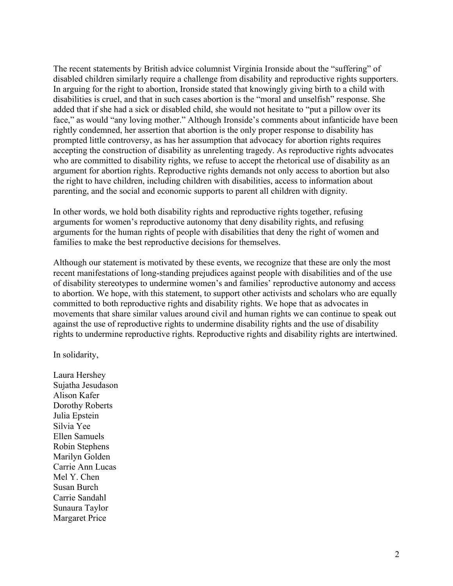The recent statements by British advice columnist Virginia Ironside about the "suffering" of disabled children similarly require a challenge from disability and reproductive rights supporters. In arguing for the right to abortion, Ironside stated that knowingly giving birth to a child with disabilities is cruel, and that in such cases abortion is the "moral and unselfish" response. She added that if she had a sick or disabled child, she would not hesitate to "put a pillow over its face," as would "any loving mother." Although Ironside's comments about infanticide have been rightly condemned, her assertion that abortion is the only proper response to disability has prompted little controversy, as has her assumption that advocacy for abortion rights requires accepting the construction of disability as unrelenting tragedy. As reproductive rights advocates who are committed to disability rights, we refuse to accept the rhetorical use of disability as an argument for abortion rights. Reproductive rights demands not only access to abortion but also the right to have children, including children with disabilities, access to information about parenting, and the social and economic supports to parent all children with dignity.

In other words, we hold both disability rights and reproductive rights together, refusing arguments for women's reproductive autonomy that deny disability rights, and refusing arguments for the human rights of people with disabilities that deny the right of women and families to make the best reproductive decisions for themselves.

Although our statement is motivated by these events, we recognize that these are only the most recent manifestations of long-standing prejudices against people with disabilities and of the use of disability stereotypes to undermine women's and families' reproductive autonomy and access to abortion. We hope, with this statement, to support other activists and scholars who are equally committed to both reproductive rights and disability rights. We hope that as advocates in movements that share similar values around civil and human rights we can continue to speak out against the use of reproductive rights to undermine disability rights and the use of disability rights to undermine reproductive rights. Reproductive rights and disability rights are intertwined.

In solidarity,

Laura Hershey Sujatha Jesudason Alison Kafer Dorothy Roberts Julia Epstein Silvia Yee Ellen Samuels Robin Stephens Marilyn Golden Carrie Ann Lucas Mel Y. Chen Susan Burch Carrie Sandahl Sunaura Taylor Margaret Price